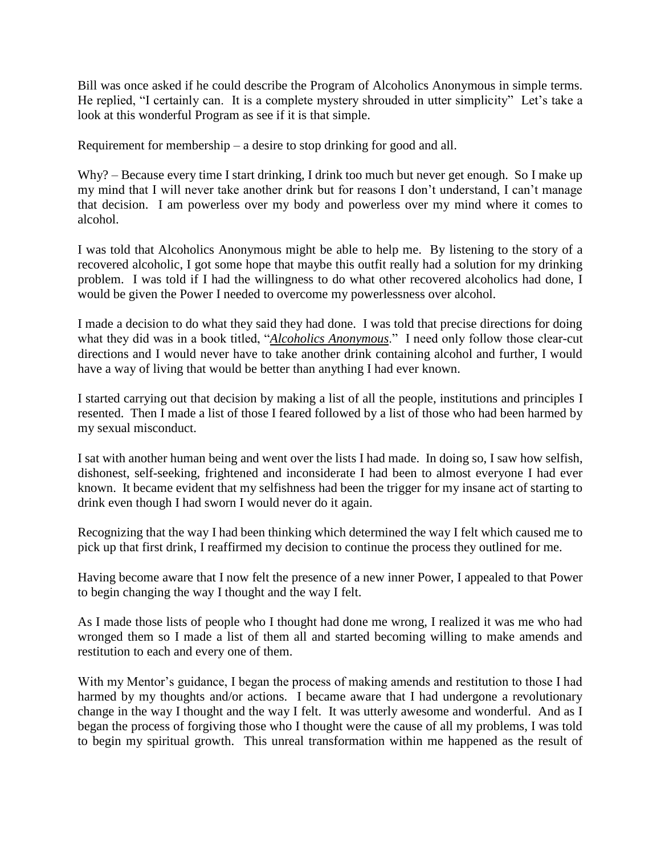Bill was once asked if he could describe the Program of Alcoholics Anonymous in simple terms. He replied, "I certainly can. It is a complete mystery shrouded in utter simplicity" Let's take a look at this wonderful Program as see if it is that simple.

Requirement for membership – a desire to stop drinking for good and all.

Why? – Because every time I start drinking, I drink too much but never get enough. So I make up my mind that I will never take another drink but for reasons I don't understand, I can't manage that decision. I am powerless over my body and powerless over my mind where it comes to alcohol.

I was told that Alcoholics Anonymous might be able to help me. By listening to the story of a recovered alcoholic, I got some hope that maybe this outfit really had a solution for my drinking problem. I was told if I had the willingness to do what other recovered alcoholics had done, I would be given the Power I needed to overcome my powerlessness over alcohol.

I made a decision to do what they said they had done. I was told that precise directions for doing what they did was in a book titled, "*Alcoholics Anonymous*." I need only follow those clear-cut directions and I would never have to take another drink containing alcohol and further, I would have a way of living that would be better than anything I had ever known.

I started carrying out that decision by making a list of all the people, institutions and principles I resented. Then I made a list of those I feared followed by a list of those who had been harmed by my sexual misconduct.

I sat with another human being and went over the lists I had made. In doing so, I saw how selfish, dishonest, self-seeking, frightened and inconsiderate I had been to almost everyone I had ever known. It became evident that my selfishness had been the trigger for my insane act of starting to drink even though I had sworn I would never do it again.

Recognizing that the way I had been thinking which determined the way I felt which caused me to pick up that first drink, I reaffirmed my decision to continue the process they outlined for me.

Having become aware that I now felt the presence of a new inner Power, I appealed to that Power to begin changing the way I thought and the way I felt.

As I made those lists of people who I thought had done me wrong, I realized it was me who had wronged them so I made a list of them all and started becoming willing to make amends and restitution to each and every one of them.

With my Mentor's guidance, I began the process of making amends and restitution to those I had harmed by my thoughts and/or actions. I became aware that I had undergone a revolutionary change in the way I thought and the way I felt. It was utterly awesome and wonderful. And as I began the process of forgiving those who I thought were the cause of all my problems, I was told to begin my spiritual growth. This unreal transformation within me happened as the result of